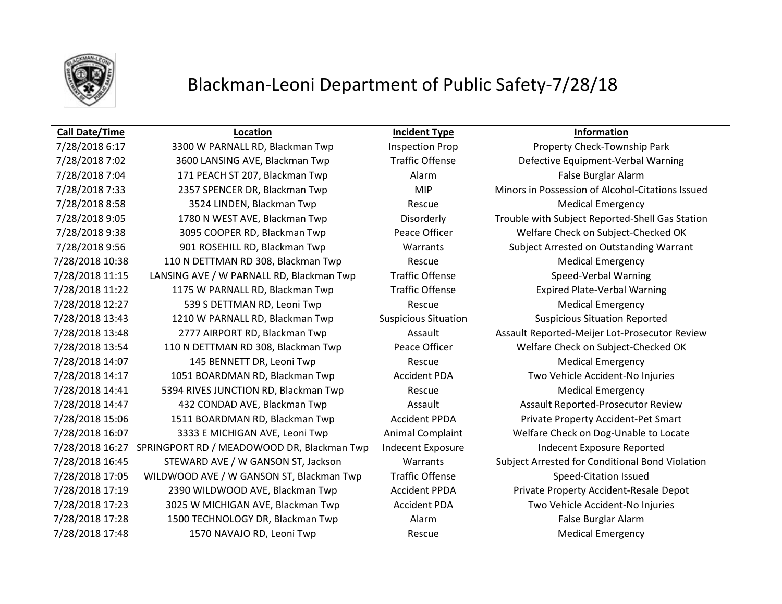

## Blackman-Leoni Department of Public Safety-7/28/18

## **Call Date/Time Location Incident Type Information**

7/28/2018 6:17 3300 W PARNALL RD, Blackman Twp Inspection Prop Property Check-Township Park 7/28/2018 7:02 3600 LANSING AVE, Blackman Twp Traffic Offense Defective Equipment-Verbal Warning 7/28/2018 7:04 171 PEACH ST 207, Blackman Twp Alarm False Burglar Alarm 7/28/2018 8:58 3524 LINDEN, Blackman Twp Rescue Rescue Medical Emergency 7/28/2018 9:38 3095 COOPER RD, Blackman Twp Peace Officer Welfare Check on Subject-Checked OK 7/28/2018 9:56 901 ROSEHILL RD, Blackman Twp Warrants Subject Arrested on Outstanding Warrant 7/28/2018 10:38 110 N DETTMAN RD 308, Blackman Twp Rescue Rescue Medical Emergency 7/28/2018 11:15 LANSING AVE / W PARNALL RD, Blackman Twp Traffic Offense Speed-Verbal Warning 7/28/2018 11:22 1175 W PARNALL RD, Blackman Twp Traffic Offense Expired Plate-Verbal Warning 7/28/2018 12:27 539 S DETTMAN RD, Leoni Twp Rescue Rescue Medical Emergency 7/28/2018 13:43 1210 W PARNALL RD, Blackman Twp Suspicious Situation Suspicious Situation Reported 7/28/2018 13:54 110 N DETTMAN RD 308, Blackman Twp Peace Officer Welfare Check on Subject-Checked OK 7/28/2018 14:07 145 BENNETT DR, Leoni Twp Rescue Medical Emergency 7/28/2018 14:17 1051 BOARDMAN RD, Blackman Twp Accident PDA Two Vehicle Accident-No Injuries 7/28/2018 14:41 5394 RIVES JUNCTION RD, Blackman Twp Rescue Rescue Medical Emergency 7/28/2018 14:47 432 CONDAD AVE, Blackman Twp Assault Assault Assault Assault Reported-Prosecutor Review 7/28/2018 15:06 1511 BOARDMAN RD, Blackman Twp Accident PPDA Private Property Accident-Pet Smart 7/28/2018 16:07 3333 E MICHIGAN AVE, Leoni Twp Animal Complaint Welfare Check on Dog-Unable to Locate 7/28/2018 16:27 SPRINGPORT RD / MEADOWOOD DR, Blackman Twp Indecent Exposure Indecent Exposure Reported 7/28/2018 17:05 WILDWOOD AVE / W GANSON ST, Blackman Twp Traffic Offense Speed-Citation Issued 7/28/2018 17:19 2390 WILDWOOD AVE, Blackman Twp Accident PPDA Private Property Accident-Resale Depot 7/28/2018 17:23 3025 W MICHIGAN AVE, Blackman Twp Accident PDA Two Vehicle Accident-No Injuries 7/28/2018 17:28 1500 TECHNOLOGY DR, Blackman Twp Alarm Alarm False Burglar Alarm 7/28/2018 17:48 1570 NAVAJO RD, Leoni Twp Rescue Rescue Medical Emergency

7/28/2018 7:33 2357 SPENCER DR, Blackman Twp MIP Minors in Possession of Alcohol-Citations Issued 7/28/2018 9:05 1780 N WEST AVE, Blackman Twp Disorderly Trouble with Subject Reported-Shell Gas Station 7/28/2018 13:48 2777 AIRPORT RD, Blackman Twp Assault Assault Reported-Meijer Lot-Prosecutor Review 7/28/2018 16:45 STEWARD AVE / W GANSON ST, Jackson Warrants Subject Arrested for Conditional Bond Violation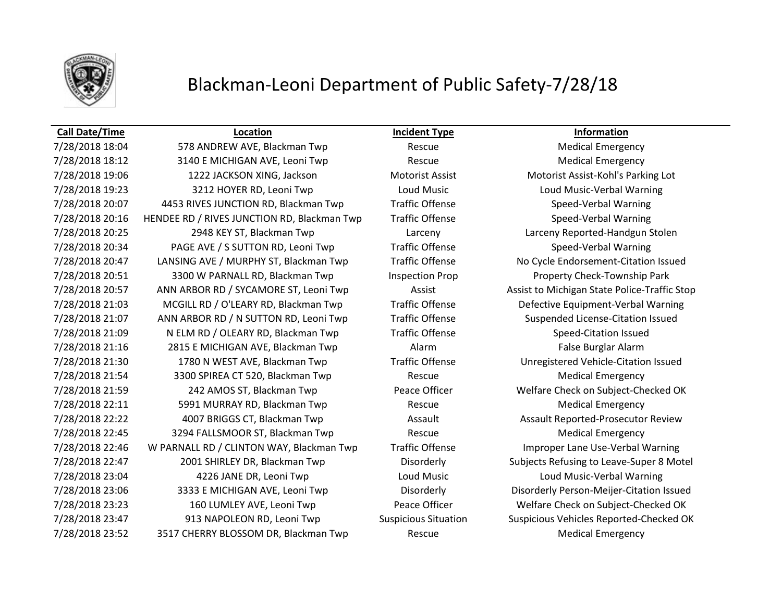

## Blackman-Leoni Department of Public Safety-7/28/18

### **Call Date/Time Location Incident Type Information**

7/28/2018 18:04 578 ANDREW AVE, Blackman Twp Rescue Medical Emergency 7/28/2018 18:12 3140 E MICHIGAN AVE, Leoni Twp Rescue Rescue Medical Emergency 7/28/2018 19:06 1222 JACKSON XING, Jackson Motorist Assist Motorist Assist-Kohl's Parking Lot 7/28/2018 19:23 3212 HOYER RD, Leoni Twp Loud Music Loud Music-Verbal Warning 7/28/2018 20:07 4453 RIVES JUNCTION RD, Blackman Twp Traffic Offense Speed-Verbal Warning 7/28/2018 20:16 HENDEE RD / RIVES JUNCTION RD, Blackman Twp Traffic Offense Speed-Verbal Warning 7/28/2018 20:25 2948 KEY ST, Blackman Twp Larceny Larceny Reported-Handgun Stolen 7/28/2018 20:34 PAGE AVE / S SUTTON RD, Leoni Twp Traffic Offense Speed-Verbal Warning 7/28/2018 20:47 LANSING AVE / MURPHY ST, Blackman Twp Traffic Offense No Cycle Endorsement-Citation Issued 7/28/2018 20:51 3300 W PARNALL RD, Blackman Twp Inspection Prop Property Check-Township Park 7/28/2018 20:57 ANN ARBOR RD / SYCAMORE ST, Leoni Twp Assist Assist Assist to Michigan State Police-Traffic Stop 7/28/2018 21:03 MCGILL RD / O'LEARY RD, Blackman Twp Traffic Offense Defective Equipment-Verbal Warning 7/28/2018 21:07 ANN ARBOR RD / N SUTTON RD, Leoni Twp Traffic Offense Suspended License-Citation Issued 7/28/2018 21:09 N ELM RD / OLEARY RD, Blackman Twp Traffic Offense Speed-Citation Issued 7/28/2018 21:16 2815 E MICHIGAN AVE, Blackman Twp Alarm False Burglar Alarm 7/28/2018 21:30 1780 N WEST AVE, Blackman Twp Traffic Offense Unregistered Vehicle-Citation Issued 7/28/2018 21:54 3300 SPIREA CT 520, Blackman Twp Rescue Medical Emergency 7/28/2018 21:59 242 AMOS ST, Blackman Twp Peace Officer Welfare Check on Subject-Checked OK 7/28/2018 22:11 5991 MURRAY RD, Blackman Twp Rescue Rescue Medical Emergency 7/28/2018 22:22 4007 BRIGGS CT, Blackman Twp Assault Assault Assault Reported-Prosecutor Review 7/28/2018 22:45 3294 FALLSMOOR ST, Blackman Twp Rescue Medical Emergency 7/28/2018 22:46 W PARNALL RD / CLINTON WAY, Blackman Twp Traffic Offense Improper Lane Use-Verbal Warning 7/28/2018 22:47 2001 SHIRLEY DR, Blackman Twp Disorderly Subjects Refusing to Leave-Super 8 Motel 7/28/2018 23:04 4226 JANE DR, Leoni Twp Loud Music Loud Music-Verbal Warning 7/28/2018 23:06 3333 E MICHIGAN AVE, Leoni Twp Disorderly Disorderly Person-Meijer-Citation Issued 7/28/2018 23:23 160 LUMLEY AVE, Leoni Twp Peace Officer Welfare Check on Subject-Checked OK 7/28/2018 23:47 913 NAPOLEON RD, Leoni Twp Suspicious Situation Suspicious Vehicles Reported-Checked OK 7/28/2018 23:52 3517 CHERRY BLOSSOM DR, Blackman Twp Rescue Medical Emergency